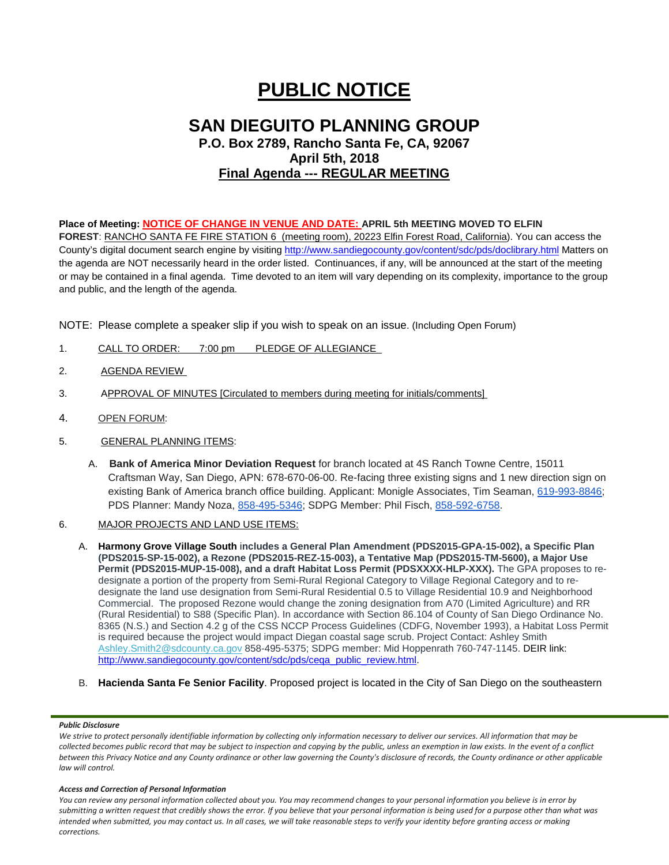# **PUBLIC NOTICE**

# **SAN DIEGUITO PLANNING GROUP P.O. Box 2789, Rancho Santa Fe, CA, 92067 April 5th, 2018 Final Agenda --- REGULAR MEETING**

## **Place of Meeting: NOTICE OF CHANGE IN VENUE AND DATE: APRIL 5th MEETING MOVED TO ELFIN**

**FOREST**: RANCHO SANTA FE FIRE STATION 6 (meeting room), 20223 Elfin Forest Road, California). You can access the County's digital document search engine by visitin[g http://www.sandiegocounty.gov/content/sdc/pds/doclibrary.html](http://www.sandiegocounty.gov/content/sdc/pds/doclibrary.html) Matters on the agenda are NOT necessarily heard in the order listed. Continuances, if any, will be announced at the start of the meeting or may be contained in a final agenda. Time devoted to an item will vary depending on its complexity, importance to the group and public, and the length of the agenda.

NOTE: Please complete a speaker slip if you wish to speak on an issue. (Including Open Forum)

- 1. CALL TO ORDER: 7:00 pm PLEDGE OF ALLEGIANCE
- 2. AGENDA REVIEW
- 3. APPROVAL OF MINUTES [Circulated to members during meeting for initials/comments]
- 4. OPEN FORUM:
- 5. GENERAL PLANNING ITEMS:
	- A. **Bank of America Minor Deviation Request** for branch located at 4S Ranch Towne Centre, 15011 Craftsman Way, San Diego, APN: 678-670-06-00. Re-facing three existing signs and 1 new direction sign on existing Bank of America branch office building. Applicant: Monigle Associates, Tim Seaman, [619-993-8846;](tel:(619)%20993-8846) PDS Planner: Mandy Noza, [858-495-5346;](tel:(858)%20495-5346) SDPG Member: Phil Fisch, [858-592-6758.](tel:(858)%20592-6758)
- 6. MAJOR PROJECTS AND LAND USE ITEMS:
	- A. **Harmony Grove Village South** i**ncludes a General Plan Amendment (PDS2015-GPA-15-002), a Specific Plan (PDS2015-SP-15-002), a Rezone (PDS2015-REZ-15-003), a Tentative Map (PDS2015-TM-5600), a Major Use**  Permit (PDS2015-MUP-15-008), and a draft Habitat Loss Permit (PDSXXXX-HLP-XXX). The GPA proposes to redesignate a portion of the property from Semi-Rural Regional Category to Village Regional Category and to redesignate the land use designation from Semi-Rural Residential 0.5 to Village Residential 10.9 and Neighborhood Commercial. The proposed Rezone would change the zoning designation from A70 (Limited Agriculture) and RR (Rural Residential) to S88 (Specific Plan). In accordance with Section 86.104 of County of San Diego Ordinance No. 8365 (N.S.) and Section 4.2 g of the CSS NCCP Process Guidelines (CDFG, November 1993), a Habitat Loss Permit is required because the project would impact Diegan coastal sage scrub. Project Contact: Ashley Smith [Ashley.Smith2@sdcounty.ca.gov](mailto:Ashley.Smith2@sdcounty.ca.gov?subject=Harmony%20Grove%20Village%20South) 858-495-5375; SDPG member: Mid Hoppenrath 760-747-1145. DEIR link: [http://www.sandiegocounty.gov/content/sdc/pds/ceqa\\_public\\_review.html.](http://www.sandiegocounty.gov/content/sdc/pds/ceqa_public_review.html)
	- B. **Hacienda Santa Fe Senior Facility**. Proposed project is located in the City of San Diego on the southeastern

#### *Public Disclosure*

*We strive to protect personally identifiable information by collecting only information necessary to deliver our services. All information that may be collected becomes public record that may be subject to inspection and copying by the public, unless an exemption in law exists. In the event of a conflict between this Privacy Notice and any County ordinance or other law governing the County's disclosure of records, the County ordinance or other applicable law will control.*

#### *Access and Correction of Personal Information*

*You can review any personal information collected about you. You may recommend changes to your personal information you believe is in error by submitting a written request that credibly shows the error. If you believe that your personal information is being used for a purpose other than what was intended when submitted, you may contact us. In all cases, we will take reasonable steps to verify your identity before granting access or making corrections.*